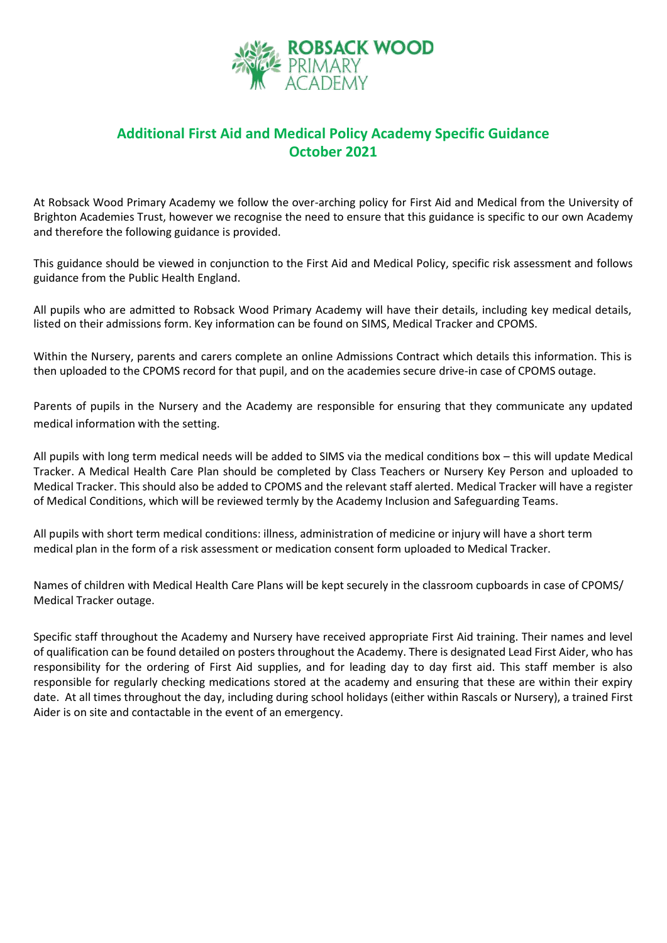

## **Additional First Aid and Medical Policy Academy Specific Guidance October 2021**

At Robsack Wood Primary Academy we follow the over-arching policy for First Aid and Medical from the University of Brighton Academies Trust, however we recognise the need to ensure that this guidance is specific to our own Academy and therefore the following guidance is provided.

This guidance should be viewed in conjunction to the First Aid and Medical Policy, specific risk assessment and follows guidance from the Public Health England.

All pupils who are admitted to Robsack Wood Primary Academy will have their details, including key medical details, listed on their admissions form. Key information can be found on SIMS, Medical Tracker and CPOMS.

Within the Nursery, parents and carers complete an online Admissions Contract which details this information. This is then uploaded to the CPOMS record for that pupil, and on the academies secure drive-in case of CPOMS outage.

Parents of pupils in the Nursery and the Academy are responsible for ensuring that they communicate any updated medical information with the setting.

All pupils with long term medical needs will be added to SIMS via the medical conditions box – this will update Medical Tracker. A Medical Health Care Plan should be completed by Class Teachers or Nursery Key Person and uploaded to Medical Tracker. This should also be added to CPOMS and the relevant staff alerted. Medical Tracker will have a register of Medical Conditions, which will be reviewed termly by the Academy Inclusion and Safeguarding Teams.

All pupils with short term medical conditions: illness, administration of medicine or injury will have a short term medical plan in the form of a risk assessment or medication consent form uploaded to Medical Tracker.

Names of children with Medical Health Care Plans will be kept securely in the classroom cupboards in case of CPOMS/ Medical Tracker outage.

Specific staff throughout the Academy and Nursery have received appropriate First Aid training. Their names and level of qualification can be found detailed on posters throughout the Academy. There is designated Lead First Aider, who has responsibility for the ordering of First Aid supplies, and for leading day to day first aid. This staff member is also responsible for regularly checking medications stored at the academy and ensuring that these are within their expiry date. At all times throughout the day, including during school holidays (either within Rascals or Nursery), a trained First Aider is on site and contactable in the event of an emergency.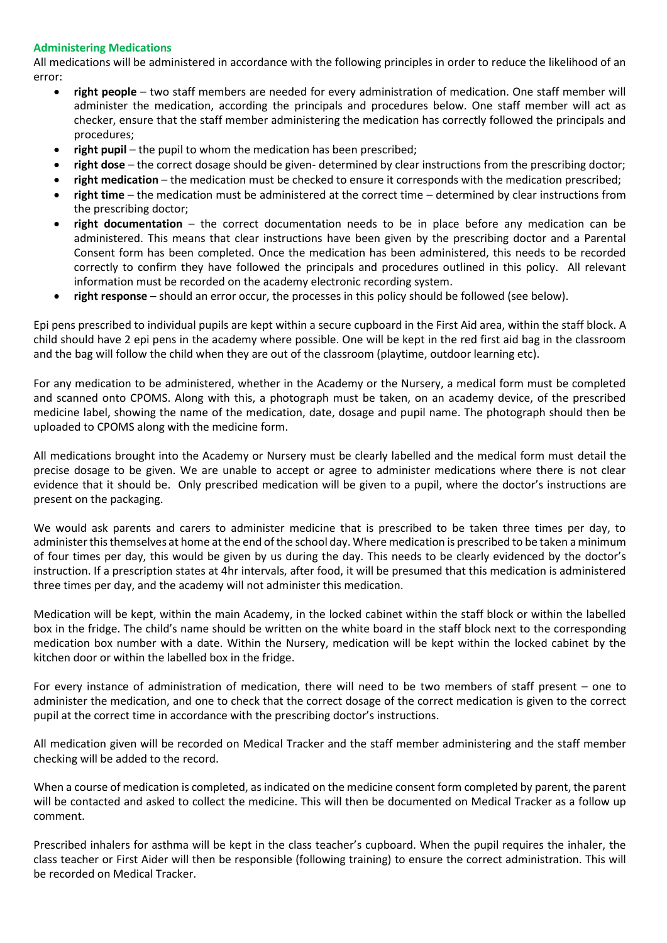## **Administering Medications**

All medications will be administered in accordance with the following principles in order to reduce the likelihood of an error:

- **right people** two staff members are needed for every administration of medication. One staff member will administer the medication, according the principals and procedures below. One staff member will act as checker, ensure that the staff member administering the medication has correctly followed the principals and procedures;
- **right pupil** the pupil to whom the medication has been prescribed;
- **right dose** the correct dosage should be given- determined by clear instructions from the prescribing doctor;
- **right medication** the medication must be checked to ensure it corresponds with the medication prescribed;
- **right time** the medication must be administered at the correct time determined by clear instructions from the prescribing doctor;
- **right documentation**  the correct documentation needs to be in place before any medication can be administered. This means that clear instructions have been given by the prescribing doctor and a Parental Consent form has been completed. Once the medication has been administered, this needs to be recorded correctly to confirm they have followed the principals and procedures outlined in this policy. All relevant information must be recorded on the academy electronic recording system.
- **right response** should an error occur, the processes in this policy should be followed (see below).

Epi pens prescribed to individual pupils are kept within a secure cupboard in the First Aid area, within the staff block. A child should have 2 epi pens in the academy where possible. One will be kept in the red first aid bag in the classroom and the bag will follow the child when they are out of the classroom (playtime, outdoor learning etc).

For any medication to be administered, whether in the Academy or the Nursery, a medical form must be completed and scanned onto CPOMS. Along with this, a photograph must be taken, on an academy device, of the prescribed medicine label, showing the name of the medication, date, dosage and pupil name. The photograph should then be uploaded to CPOMS along with the medicine form.

All medications brought into the Academy or Nursery must be clearly labelled and the medical form must detail the precise dosage to be given. We are unable to accept or agree to administer medications where there is not clear evidence that it should be. Only prescribed medication will be given to a pupil, where the doctor's instructions are present on the packaging.

We would ask parents and carers to administer medicine that is prescribed to be taken three times per day, to administer this themselves at home at the end of the school day. Where medication is prescribed to be taken a minimum of four times per day, this would be given by us during the day. This needs to be clearly evidenced by the doctor's instruction. If a prescription states at 4hr intervals, after food, it will be presumed that this medication is administered three times per day, and the academy will not administer this medication.

Medication will be kept, within the main Academy, in the locked cabinet within the staff block or within the labelled box in the fridge. The child's name should be written on the white board in the staff block next to the corresponding medication box number with a date. Within the Nursery, medication will be kept within the locked cabinet by the kitchen door or within the labelled box in the fridge.

For every instance of administration of medication, there will need to be two members of staff present – one to administer the medication, and one to check that the correct dosage of the correct medication is given to the correct pupil at the correct time in accordance with the prescribing doctor's instructions.

All medication given will be recorded on Medical Tracker and the staff member administering and the staff member checking will be added to the record.

When a course of medication is completed, as indicated on the medicine consent form completed by parent, the parent will be contacted and asked to collect the medicine. This will then be documented on Medical Tracker as a follow up comment.

Prescribed inhalers for asthma will be kept in the class teacher's cupboard. When the pupil requires the inhaler, the class teacher or First Aider will then be responsible (following training) to ensure the correct administration. This will be recorded on Medical Tracker.